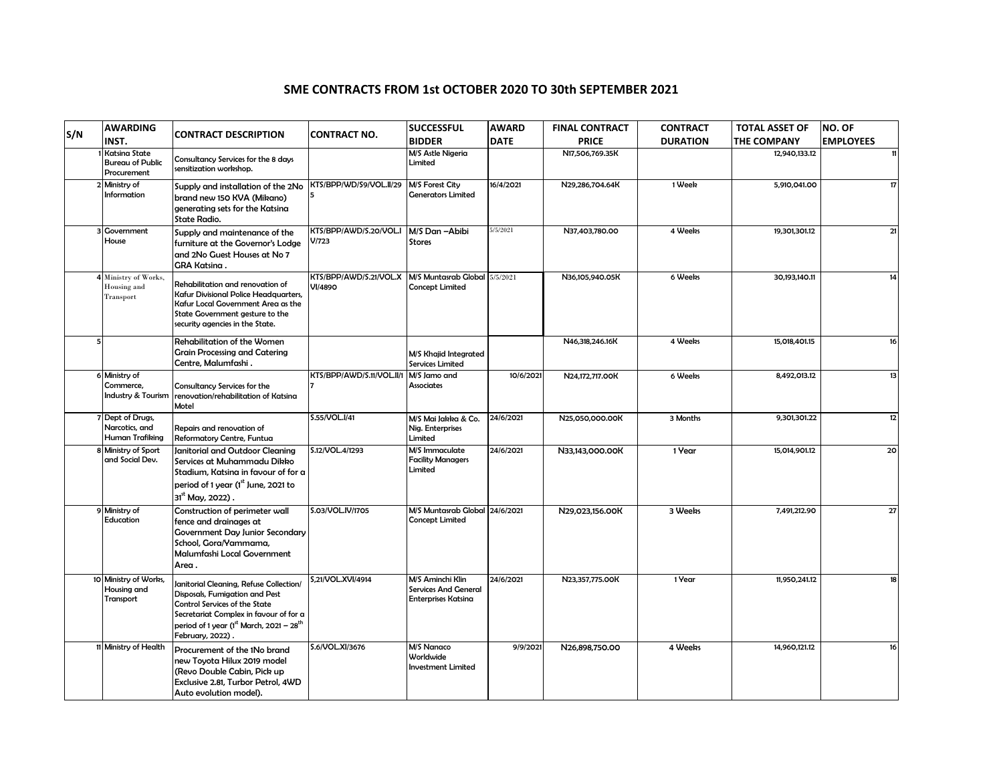## **SME CONTRACTS FROM 1st OCTOBER 2020 TO 30th SEPTEMBER 2021**

| S/N | <b>AWARDING</b>                                         | <b>CONTRACT DESCRIPTION</b>                                                                                                                                                                                                             | <b>CONTRACT NO.</b>                      | <b>SUCCESSFUL</b>                                                             | <b>AWARD</b> | <b>FINAL CONTRACT</b> | <b>CONTRACT</b> | <b>TOTAL ASSET OF</b> | NO. OF           |
|-----|---------------------------------------------------------|-----------------------------------------------------------------------------------------------------------------------------------------------------------------------------------------------------------------------------------------|------------------------------------------|-------------------------------------------------------------------------------|--------------|-----------------------|-----------------|-----------------------|------------------|
|     | INST.                                                   |                                                                                                                                                                                                                                         |                                          | <b>BIDDER</b>                                                                 | <b>DATE</b>  | <b>PRICE</b>          | <b>DURATION</b> | <b>THE COMPANY</b>    | <b>EMPLOYEES</b> |
|     | Katsina State<br><b>Bureau of Public</b><br>Procurement | Consultancy Services for the 8 days<br>sensitization workshop.                                                                                                                                                                          |                                          | M/S Astle Nigeria<br>Limited                                                  |              | N17,506,769.35K       |                 | 12,940,133.12         |                  |
|     | 2 Ministry of<br>Information                            | Supply and installation of the 2No<br>brand new 150 KVA (Mikano)<br>generating sets for the Katsina<br><b>State Radio.</b>                                                                                                              | KTS/BPP/WD/S9/VOL.II/29                  | M/S Forest City<br><b>Generators Limited</b>                                  | 16/4/2021    | N29,286,704.64K       | 1 Week          | 5,910,041.00          | 17               |
|     | Government<br>House                                     | Supply and maintenance of the<br>furniture at the Governor's Lodge<br>and 2No Guest Houses at No 7<br>GRA Katsina.                                                                                                                      | KTS/BPP/AWD/S.20/VOL.I<br>V/723          | M/S Dan-Abibi<br><b>Stores</b>                                                | 5/5/2021     | N37.403.780.00        | 4 Weeks         | 19.301.301.12         | 21               |
|     | Ministry of Works.<br>Housing and<br>Transport          | Rehabilitation and renovation of<br>Kafur Divisional Police Headquarters,<br>Kafur Local Government Area as the<br>State Government gesture to the<br>security agencies in the State.                                                   | KTS/BPP/AWD/S.21/VOL.X<br><b>VI/4890</b> | M/S Muntasrab Global 5/5/2021<br><b>Concept Limited</b>                       |              | N36,105,940.05K       | 6 Weeks         | 30,193,140.11         | 14               |
|     |                                                         | Rehabilitation of the Women<br><b>Grain Processing and Catering</b><br>Centre, Malumfashi.                                                                                                                                              |                                          | M/S Khajid Integrated<br><b>Services Limited</b>                              |              | N46.318.246.16K       | 4 Weeks         | 15,018,401.15         | 16               |
|     | 6 Ministry of<br>Commerce,<br>Industry & Tourism        | Consultancy Services for the<br>renovation/rehabilitation of Katsina<br>Motel                                                                                                                                                           | KTS/BPP/AWD/S.11/VOL.II/1                | M/S Jamo and<br>Associates                                                    | 10/6/2021    | N24,172,717.00K       | 6 Weeks         | 8.492.013.12          | 13               |
|     | 7 Dept of Drugs,<br>Narcotics, and<br>Human Trafiking   | Repairs and renovation of<br>Reformatory Centre, Funtua                                                                                                                                                                                 | S.55/VOL.I/41                            | M/S Mai Jakka & Co.<br>Nig. Enterprises<br>Limited                            | 24/6/2021    | N25,050,000.00K       | 3 Months        | 9,301,301.22          | 12               |
|     | 8 Ministry of Sport<br>and Social Dev.                  | Janitorial and Outdoor Cleaning<br>Services at Muhammadu Dikko<br>Stadium, Katsina in favour of for a<br>period of 1 year (1st June, 2021 to<br>31 <sup>st</sup> May, 2022).                                                            | S.12/VOL.4/1293                          | M/S Immaculate<br><b>Facility Managers</b><br>Limited                         | 24/6/2021    | N33,143,000.00K       | 1 Year          | 15,014,901.12         | 20               |
|     | 9 Ministry of<br>Education                              | Construction of perimeter wall<br>fence and drainages at<br><b>Government Day Junior Secondary</b><br>School, Gora/Yammama,<br>Malumfashi Local Government<br>Area.                                                                     | S.03/VOL.IV/1705                         | M/S Muntasrab Global 24/6/2021<br><b>Concept Limited</b>                      |              | N29.023.156.00K       | 3 Weeks         | 7,491,212.90          | 27               |
|     | 10 Ministry of Works,<br>Housing and<br>Transport       | Janitorial Cleaning, Refuse Collection/<br>Disposals, Fumigation and Pest<br><b>Control Services of the State</b><br>Secretariat Complex in favour of for a<br>period of 1 year (1st March, 2021 - 28 <sup>th</sup><br>February, 2022). | S,21/VOL.XVI/4914                        | M/S Aminchi Klin<br><b>Services And General</b><br><b>Enterprises Katsina</b> | 24/6/2021    | N23,357,775.00K       | 1 Year          | 11,950,241.12         | 18               |
|     | 11 Ministry of Health                                   | Procurement of the 1No brand<br>new Toyota Hilux 2019 model<br>(Revo Double Cabin, Pick up<br>Exclusive 2.81, Turbor Petrol, 4WD<br>Auto evolution model).                                                                              | S.6/VOL.XI/3676                          | M/S Nanaco<br>Worldwide<br><b>Investment Limited</b>                          | 9/9/2021     | N26,898,750.00        | 4 Weeks         | 14,960,121.12         | 16               |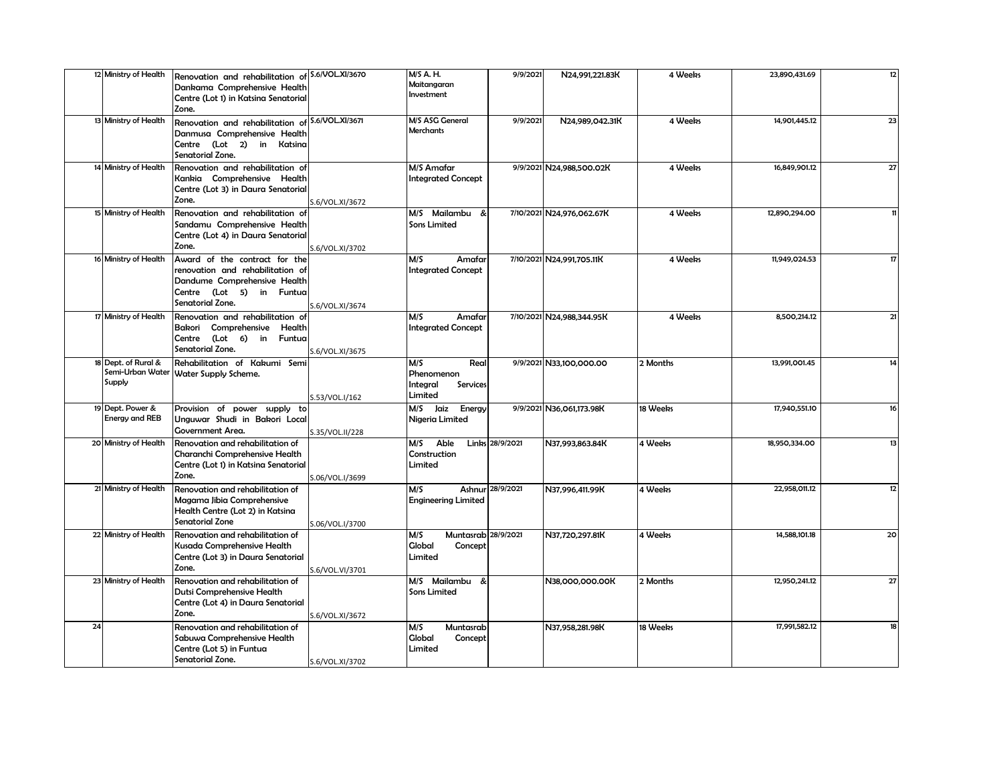|    | 12 Ministry of Health |                                                                                  |                 | M/S A. H.                  |                  |                           | 4 Weeks  |               | 12 |
|----|-----------------------|----------------------------------------------------------------------------------|-----------------|----------------------------|------------------|---------------------------|----------|---------------|----|
|    |                       | Renovation and rehabilitation of S.6/VOL.XI/3670<br>Dankama Comprehensive Health |                 | Maitangaran                | 9/9/2021         | N24,991,221.83K           |          | 23,890,431.69 |    |
|    |                       | Centre (Lot 1) in Katsina Senatorial                                             |                 | Investment                 |                  |                           |          |               |    |
|    |                       | Zone.                                                                            |                 |                            |                  |                           |          |               |    |
|    |                       |                                                                                  |                 | M/S ASG General            |                  |                           |          | 14.901.445.12 |    |
|    | 13 Ministry of Health | Renovation and rehabilitation of S.6/VOL.XI/3671                                 |                 | Merchants                  | 9/9/2021         | N24,989,042.31K           | 4 Weeks  |               | 23 |
|    |                       | Danmusa Comprehensive Health                                                     |                 |                            |                  |                           |          |               |    |
|    |                       | Centre (Lot 2) in Katsina                                                        |                 |                            |                  |                           |          |               |    |
|    |                       | Senatorial Zone.                                                                 |                 |                            |                  |                           |          |               |    |
|    | 14 Ministry of Health | Renovation and rehabilitation of                                                 |                 | M/S Amafar                 |                  | 9/9/2021 N24,988,500.02K  | 4 Weeks  | 16,849,901.12 | 27 |
|    |                       | Kankia Comprehensive Health                                                      |                 | <b>Integrated Concept</b>  |                  |                           |          |               |    |
|    |                       | Centre (Lot 3) in Daura Senatorial                                               |                 |                            |                  |                           |          |               |    |
|    |                       | Zone.                                                                            | S.6/VOL.XI/3672 |                            |                  |                           |          |               |    |
|    | 15 Ministry of Health | Renovation and rehabilitation of                                                 |                 | M/S Mailambu               |                  | 7/10/2021 N24,976,062.67K | 4 Weeks  | 12,890,294.00 |    |
|    |                       | Sandamu Comprehensive Health                                                     |                 | <b>Sons Limited</b>        |                  |                           |          |               |    |
|    |                       | Centre (Lot 4) in Daura Senatorial                                               |                 |                            |                  |                           |          |               |    |
|    |                       | Zone.                                                                            | S.6/VOL.XI/3702 |                            |                  |                           |          |               |    |
|    | 16 Ministry of Health | Award of the contract for the                                                    |                 | M/S<br>Amafar              |                  | 7/10/2021 N24,991,705.11K | 4 Weeks  | 11,949,024.53 | 17 |
|    |                       | renovation and rehabilitation of                                                 |                 | <b>Integrated Concept</b>  |                  |                           |          |               |    |
|    |                       |                                                                                  |                 |                            |                  |                           |          |               |    |
|    |                       | Dandume Comprehensive Health                                                     |                 |                            |                  |                           |          |               |    |
|    |                       | Centre (Lot 5) in Funtua                                                         |                 |                            |                  |                           |          |               |    |
|    |                       | Senatorial Zone.                                                                 | S.6/VOL.XI/3674 |                            |                  |                           |          |               |    |
|    | 17 Ministry of Health | Renovation and rehabilitation of                                                 |                 | M/S<br>Amafar              |                  | 7/10/2021 N24,988,344.95K | 4 Weeks  | 8,500,214.12  | 21 |
|    |                       | Bakori Comprehensive Health                                                      |                 | <b>Integrated Concept</b>  |                  |                           |          |               |    |
|    |                       | Centre (Lot 6) in Funtua                                                         |                 |                            |                  |                           |          |               |    |
|    |                       | Senatorial Zone.                                                                 | S.6/VOL.XI/3675 |                            |                  |                           |          |               |    |
|    | 18 Dept. of Rural &   | Rehabilitation of Kakumi Semi                                                    |                 | $\overline{M/S}$<br>Real   |                  | 9/9/2021 N33,100,000.00   | 2 Months | 13,991,001.45 | 14 |
|    |                       | Semi-Urban Water   Water Supply Scheme.                                          |                 | Phenomenon                 |                  |                           |          |               |    |
|    | Supply                |                                                                                  |                 | Integral<br>Services       |                  |                           |          |               |    |
|    |                       |                                                                                  | S.53/VOL.I/162  | Limited                    |                  |                           |          |               |    |
|    | 19 Dept. Power &      | Provision of power supply to                                                     |                 | M/S Jaiz<br>Energy         |                  | 9/9/2021 N36,061,173.98K  | 18 Weeks | 17,940,551.10 | 16 |
|    | <b>Energy and REB</b> | Unguwar Shudi in Bakori Local                                                    |                 | Nigeria Limited            |                  |                           |          |               |    |
|    |                       | Government Area.                                                                 | S.35/VOL.II/228 |                            |                  |                           |          |               |    |
|    | 20 Ministry of Health |                                                                                  |                 | M/S<br>Able                | Links 28/9/2021  |                           | 4 Weeks  | 18.950.334.00 | 13 |
|    |                       | Renovation and rehabilitation of                                                 |                 |                            |                  | N37,993,863.84K           |          |               |    |
|    |                       | Charanchi Comprehensive Health                                                   |                 | Construction               |                  |                           |          |               |    |
|    |                       | Centre (Lot 1) in Katsina Senatorial                                             |                 | Limited                    |                  |                           |          |               |    |
|    |                       | Zone.                                                                            | S.06/VOL.I/3699 |                            |                  |                           |          |               |    |
|    | 21 Ministry of Health | Renovation and rehabilitation of                                                 |                 | M/S                        | Ashnur 28/9/2021 | N37,996,411.99K           | 4 Weeks  | 22.958.011.12 | 12 |
|    |                       | Magama Jibia Comprehensive                                                       |                 | <b>Engineering Limited</b> |                  |                           |          |               |    |
|    |                       | Health Centre (Lot 2) in Katsina                                                 |                 |                            |                  |                           |          |               |    |
|    |                       | <b>Senatorial Zone</b>                                                           | S.06/VOL.I/3700 |                            |                  |                           |          |               |    |
|    | 22 Ministry of Health | Renovation and rehabilitation of                                                 |                 | Muntasrab 28/9/2021<br>M/S |                  | N37,720,297.81K           | 4 Weeks  | 14,588,101.18 | 20 |
|    |                       | Kusada Comprehensive Health                                                      |                 | <b>Global</b><br>Concept   |                  |                           |          |               |    |
|    |                       | Centre (Lot 3) in Daura Senatorial                                               |                 | Limited                    |                  |                           |          |               |    |
|    |                       | Zone.                                                                            | S.6/VOL.VI/3701 |                            |                  |                           |          |               |    |
|    | 23 Ministry of Health | Renovation and rehabilitation of                                                 |                 | M/S Mailambu<br>-&         |                  | N38,000,000.00K           | 2 Months | 12,950,241.12 | 27 |
|    |                       | Dutsi Comprehensive Health                                                       |                 | Sons Limited               |                  |                           |          |               |    |
|    |                       | Centre (Lot 4) in Daura Senatorial                                               |                 |                            |                  |                           |          |               |    |
|    |                       | Zone.                                                                            | S.6/VOL.XI/3672 |                            |                  |                           |          |               |    |
| 24 |                       | Renovation and rehabilitation of                                                 |                 | M/S<br>Muntasrab           |                  | N37,958,281.98K           | 18 Weeks | 17,991,582.12 | 18 |
|    |                       | Sabuwa Comprehensive Health                                                      |                 | Global                     |                  |                           |          |               |    |
|    |                       | Centre (Lot 5) in Funtua                                                         |                 | Concept<br>Limited         |                  |                           |          |               |    |
|    |                       | Senatorial Zone.                                                                 |                 |                            |                  |                           |          |               |    |
|    |                       |                                                                                  | S.6/VOL.XI/3702 |                            |                  |                           |          |               |    |